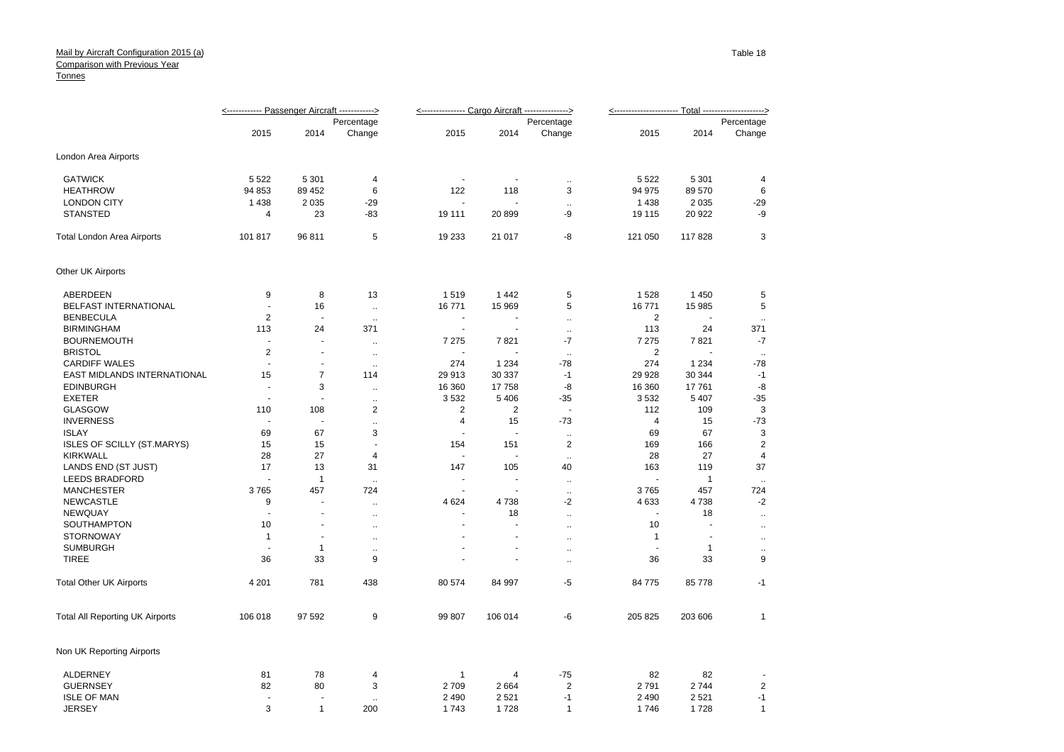## Tonnes Mail by Aircraft Configuration 2015 (a) **Comparison with Previous Year**

|                                        | <------------ Passenger Aircraft ------------> |                          |                      | <-------------- Cargo Aircraft --------------> |                      |                      |                |         |                |
|----------------------------------------|------------------------------------------------|--------------------------|----------------------|------------------------------------------------|----------------------|----------------------|----------------|---------|----------------|
|                                        | Percentage                                     |                          |                      | Percentage                                     |                      |                      | Percentage     |         |                |
|                                        | 2015                                           | 2014                     | Change               | 2015                                           | 2014                 | Change               | 2015           | 2014    | Change         |
| London Area Airports                   |                                                |                          |                      |                                                |                      |                      |                |         |                |
| <b>GATWICK</b>                         | 5 5 2 2                                        | 5 3 0 1                  | 4                    |                                                |                      | $\ddot{\phantom{1}}$ | 5 5 2 2        | 5 3 0 1 | 4              |
| <b>HEATHROW</b>                        | 94 853                                         | 89 452                   | 6                    | 122                                            | 118                  | 3                    | 94 975         | 89 570  | 6              |
| <b>LONDON CITY</b>                     | 1 4 3 8                                        | 2 0 3 5                  | $-29$                |                                                |                      | $\mathbf{r}$         | 1438           | 2 0 3 5 | $-29$          |
| <b>STANSTED</b>                        | 4                                              | 23                       | -83                  | 19 111                                         | 20899                | -9                   | 19 115         | 20 922  | -9             |
| <b>Total London Area Airports</b>      | 101817                                         | 96 811                   | $\sqrt{5}$           | 19 233                                         | 21 017               | -8                   | 121 050        | 117828  | 3              |
| Other UK Airports                      |                                                |                          |                      |                                                |                      |                      |                |         |                |
| ABERDEEN                               | 9                                              | 8                        | 13                   | 1519                                           | 1 4 4 2              | 5                    | 1528           | 1 4 5 0 | 5              |
| BELFAST INTERNATIONAL                  | ÷,                                             | 16                       | $\ddot{\phantom{1}}$ | 16771                                          | 15 969               | 5                    | 16771          | 15 985  | 5              |
| <b>BENBECULA</b>                       | $\overline{2}$                                 | $\sim$                   | $\ddotsc$            | $\overline{\phantom{a}}$                       | $\ddot{\phantom{1}}$ | $\ddotsc$            | $\overline{2}$ | ÷.      | $\ddotsc$      |
| <b>BIRMINGHAM</b>                      | 113                                            | 24                       | 371                  | $\blacksquare$                                 | ä,                   | $\bar{\mathbf{a}}$   | 113            | 24      | 371            |
| <b>BOURNEMOUTH</b>                     | $\blacksquare$                                 | ÷.                       | $\ddotsc$            | 7 2 7 5                                        | 7821                 | -7                   | 7 2 7 5        | 7821    | $-7$           |
| <b>BRISTOL</b>                         | $\overline{2}$                                 | $\ddot{\phantom{1}}$     | $\sim$               | $\ddot{\phantom{1}}$                           |                      | $\sim$               | $\overline{2}$ |         | $\sim$         |
| <b>CARDIFF WALES</b>                   | $\sim$                                         | $\overline{\phantom{a}}$ | $\ddotsc$            | 274                                            | 1 2 3 4              | -78                  | 274            | 1 2 3 4 | $-78$          |
| EAST MIDLANDS INTERNATIONAL            | 15                                             | $\overline{7}$           | 114                  | 29913                                          | 30 337               | $-1$                 | 29 9 28        | 30 344  | $-1$           |
| <b>EDINBURGH</b>                       | $\overline{\phantom{a}}$                       | 3                        | $\ddotsc$            | 16 360                                         | 17758                | -8                   | 16 360         | 17761   | -8             |
| <b>EXETER</b>                          |                                                |                          | $\ddot{\phantom{a}}$ | 3532                                           | 5406                 | $-35$                | 3532           | 5 4 0 7 | $-35$          |
| <b>GLASGOW</b>                         | 110                                            | 108                      | $\overline{2}$       | 2                                              | $\overline{2}$       | $\blacksquare$       | 112            | 109     | 3              |
| <b>INVERNESS</b>                       | $\sim$                                         | ÷.                       | $\ddotsc$            | 4                                              | 15                   | $-73$                | $\overline{4}$ | 15      | $-73$          |
| <b>ISLAY</b>                           | 69                                             | 67                       | 3                    | $\overline{\phantom{a}}$                       | ÷.                   | $\ddot{\phantom{1}}$ | 69             | 67      | $\sqrt{3}$     |
| <b>ISLES OF SCILLY (ST.MARYS)</b>      | 15                                             | 15                       | $\blacksquare$       | 154                                            | 151                  | 2                    | 169            | 166     | $\overline{2}$ |
| <b>KIRKWALL</b>                        | 28                                             | 27                       | $\overline{4}$       | $\overline{\phantom{a}}$                       | ٠                    | $\ddotsc$            | 28             | 27      | $\overline{4}$ |
| LANDS END (ST JUST)                    | 17                                             | 13                       | 31                   | 147                                            | 105                  | 40                   | 163            | 119     | 37             |
| <b>LEEDS BRADFORD</b>                  |                                                | $\overline{1}$           | $\mathbf{L}$         | $\sim$                                         | ÷.                   | $\sim$               |                | 1       | $\mathbf{r}$   |
| <b>MANCHESTER</b>                      | 3765                                           | 457                      | 724                  |                                                |                      | $\sim$               | 3765           | 457     | 724            |
| <b>NEWCASTLE</b>                       | 9                                              | $\blacksquare$           | $\ddot{\phantom{1}}$ | 4 6 24                                         | 4738                 | $-2$                 | 4633           | 4738    | $-2$           |
| <b>NEWQUAY</b>                         | ÷.                                             | ä,                       | $\ldots$             | $\ddot{\phantom{1}}$                           | 18                   | $\ddot{\phantom{1}}$ | $\overline{a}$ | 18      | $\ddotsc$      |
| SOUTHAMPTON                            | 10                                             | $\overline{\phantom{a}}$ | ٠.                   |                                                |                      | $\mathbf{r}$         | 10             | ÷,      | $\ddotsc$      |
| <b>STORNOWAY</b>                       | $\mathbf{1}$                                   | $\sim$                   | $\ddotsc$            |                                                | ÷.                   | $\mathbf{a}$         | $\mathbf{1}$   | ÷.      | $\ddotsc$      |
| <b>SUMBURGH</b>                        |                                                | $\mathbf{1}$             | $\ddot{\phantom{1}}$ |                                                |                      | $\ddot{\phantom{1}}$ | $\blacksquare$ | 1       | $\ddotsc$      |
| <b>TIREE</b>                           | 36                                             | 33                       | $\boldsymbol{9}$     |                                                |                      | $\ddot{\phantom{1}}$ | 36             | 33      | 9              |
| <b>Total Other UK Airports</b>         | 4 2 0 1                                        | 781                      | 438                  | 80 574                                         | 84 997               | $-5$                 | 84 775         | 85 778  | $-1$           |
| <b>Total All Reporting UK Airports</b> | 106 018                                        | 97 592                   | $\boldsymbol{9}$     | 99 807                                         | 106 014              | -6                   | 205 825        | 203 606 | $\mathbf{1}$   |
| Non UK Reporting Airports              |                                                |                          |                      |                                                |                      |                      |                |         |                |
| ALDERNEY                               | 81                                             | 78                       | 4                    | $\mathbf{1}$                                   | 4                    | $-75$                | 82             | 82      |                |
| <b>GUERNSEY</b>                        | 82                                             | 80                       | 3                    | 2709                                           | 2 6 6 4              | 2                    | 2791           | 2744    | $\overline{2}$ |
| <b>ISLE OF MAN</b>                     | $\overline{\phantom{a}}$                       | $\sim$                   | ٠.                   | 2 4 9 0                                        | 2521                 | $-1$                 | 2 4 9 0        | 2521    | $-1$           |
| <b>JERSEY</b>                          | 3                                              | $\mathbf{1}$             | 200                  | 1743                                           | 1728                 | $\mathbf{1}$         | 1746           | 1728    | $\mathbf{1}$   |
|                                        |                                                |                          |                      |                                                |                      |                      |                |         |                |